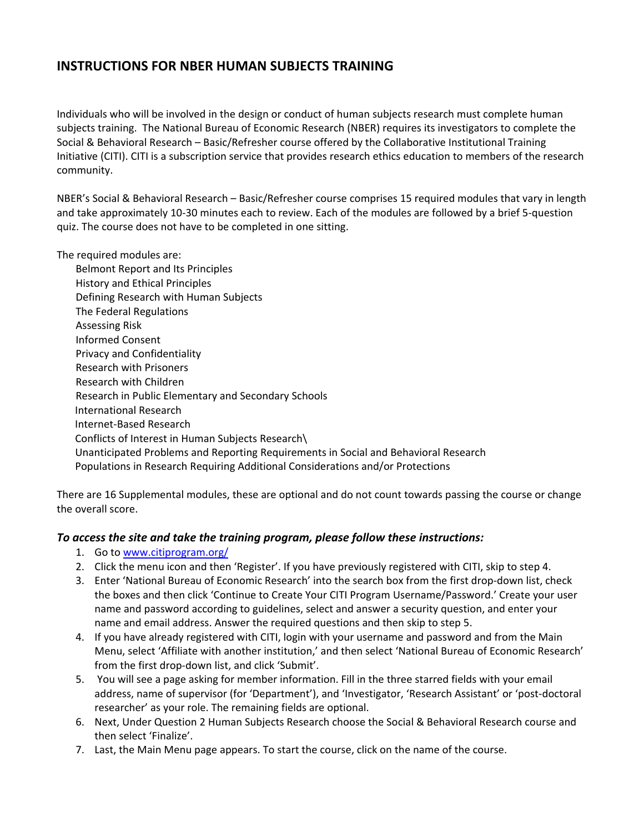## **INSTRUCTIONS FOR NBER HUMAN SUBJECTS TRAINING**

Individuals who will be involved in the design or conduct of human subjects research must complete human subjects training. The National Bureau of Economic Research (NBER) requires its investigators to complete the Social & Behavioral Research – Basic/Refresher course offered by the Collaborative Institutional Training Initiative (CITI). CITI is a subscription service that provides research ethics education to members of the research community.

NBER's Social & Behavioral Research – Basic/Refresher course comprises 15 required modules that vary in length and take approximately 10‐30 minutes each to review. Each of the modules are followed by a brief 5‐question quiz. The course does not have to be completed in one sitting.

The required modules are:

Belmont Report and Its Principles History and Ethical Principles Defining Research with Human Subjects The Federal Regulations Assessing Risk Informed Consent Privacy and Confidentiality Research with Prisoners Research with Children Research in Public Elementary and Secondary Schools International Research Internet‐Based Research Conflicts of Interest in Human Subjects Research\ Unanticipated Problems and Reporting Requirements in Social and Behavioral Research Populations in Research Requiring Additional Considerations and/or Protections

There are 16 Supplemental modules, these are optional and do not count towards passing the course or change the overall score.

## *To access the site and take the training program, please follow these instructions:*

- 1. Go to www.citiprogram.org/
- 2. Click the menu icon and then 'Register'. If you have previously registered with CITI, skip to step 4.
- 3. Enter 'National Bureau of Economic Research' into the search box from the first drop‐down list, check the boxes and then click 'Continue to Create Your CITI Program Username/Password.' Create your user name and password according to guidelines, select and answer a security question, and enter your name and email address. Answer the required questions and then skip to step 5.
- 4. If you have already registered with CITI, login with your username and password and from the Main Menu, select 'Affiliate with another institution,' and then select 'National Bureau of Economic Research' from the first drop‐down list, and click 'Submit'.
- 5. You will see a page asking for member information. Fill in the three starred fields with your email address, name of supervisor (for 'Department'), and 'Investigator, 'Research Assistant' or 'post‐doctoral researcher' as your role. The remaining fields are optional.
- 6. Next, Under Question 2 Human Subjects Research choose the Social & Behavioral Research course and then select 'Finalize'.
- 7. Last, the Main Menu page appears. To start the course, click on the name of the course.